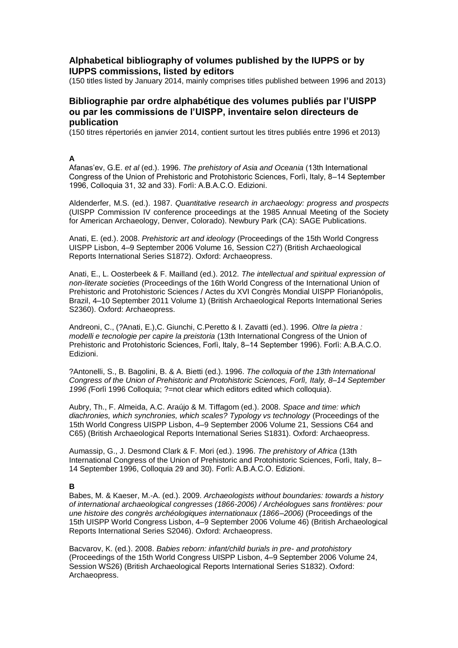# **Alphabetical bibliography of volumes published by the IUPPS or by IUPPS commissions, listed by editors**

(150 titles listed by January 2014, mainly comprises titles published between 1996 and 2013)

# **Bibliographie par ordre alphabétique des volumes publiés par l'UISPP ou par les commissions de l'UISPP, inventaire selon directeurs de publication**

(150 titres répertoriés en janvier 2014, contient surtout les titres publiés entre 1996 et 2013)

# **A**

Afanas'ev, G.E. *et al* (ed.). 1996. *The prehistory of Asia and Oceania* (13th International Congress of the Union of Prehistoric and Protohistoric Sciences, Forlì, Italy, 8-14 September 1996, Colloquia 31, 32 and 33). Forlì: A.B.A.C.O. Edizioni.

Aldenderfer, M.S. (ed.). 1987. *Quantitative research in archaeology: progress and prospects* (UISPP Commission IV conference proceedings at the 1985 Annual Meeting of the Society for American Archaeology, Denver, Colorado). Newbury Park (CA): SAGE Publications.

Anati, E. (ed.). 2008. *Prehistoric art and ideology* (Proceedings of the 15th World Congress UISPP Lisbon, 4–9 September 2006 Volume 16, Session C27) (British Archaeological Reports International Series S1872). Oxford: Archaeopress.

Anati, E., L. Oosterbeek & F. Mailland (ed.). 2012*. The intellectual and spiritual expression of non-literate societies* (Proceedings of the 16th World Congress of the International Union of Prehistoric and Protohistoric Sciences / Actes du XVI Congrès Mondial UISPP Florianópolis, Brazil, 4–10 September 2011 Volume 1) (British Archaeological Reports International Series S2360). Oxford: Archaeopress.

Andreoni, C., (?Anati, E.),C. Giunchi, C.Peretto & I. Zavatti (ed.). 1996. *Oltre la pietra : modelli e tecnologie per capire la preistoria* (13th International Congress of the Union of Prehistoric and Protohistoric Sciences, Forlì, Italy, 8–14 September 1996). Forlì: A.B.A.C.O. Edizioni.

?Antonelli, S., B. Bagolini, B. & A. Bietti (ed.). 1996. *The colloquia of the 13th International Congress of the Union of Prehistoric and Protohistoric Sciences, Forlì, Italy, 8–14 September 1996 (*Forlì 1996 Colloquia; ?=not clear which editors edited which colloquia).

Aubry, Th., F. Almeida, A.C. Araújo & M. Tiffagom (ed.). 2008. *Space and time: which diachronies, which synchronies, which scales? Typology vs technology* (Proceedings of the 15th World Congress UISPP Lisbon, 4–9 September 2006 Volume 21, Sessions C64 and C65) (British Archaeological Reports International Series S1831). Oxford: Archaeopress.

Aumassip, G., J. Desmond Clark & F. Mori (ed.). 1996. *The prehistory of Africa* (13th International Congress of the Union of Prehistoric and Protohistoric Sciences, Forlì, Italy, 8– 14 September 1996, Colloquia 29 and 30). Forli: A.B.A.C.O. Edizioni.

# **B**

Babes, M. & Kaeser, M.-A. (ed.). 2009. *Archaeologists without boundaries: towards a history of international archaeological congresses (1866-2006) / Archéologues sans frontières: pour une histoire des congrès archéologiques internationaux (1866–2006)* (Proceedings of the 15th UISPP World Congress Lisbon, 4–9 September 2006 Volume 46) (British Archaeological Reports International Series S2046). Oxford: Archaeopress.

Bacvarov, K. (ed.). 2008. *Babies reborn: infant/child burials in pre- and protohistory*  (Proceedings of the 15th World Congress UISPP Lisbon, 4–9 September 2006 Volume 24, Session WS26) (British Archaeological Reports International Series S1832). Oxford: Archaeopress.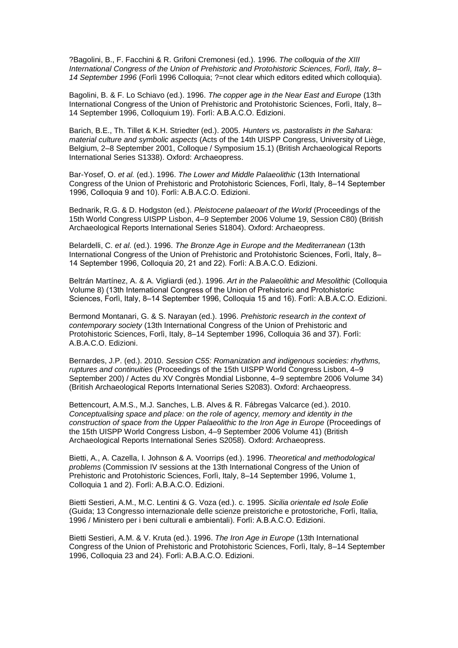?Bagolini, B., F. Facchini & R. Grifoni Cremonesi (ed.). 1996. *The colloquia of the XIII International Congress of the Union of Prehistoric and Protohistoric Sciences, Forlì, Italy, 8– 14 September 1996* (Forlì 1996 Colloquia; ?=not clear which editors edited which colloquia).

Bagolini, B. & F. Lo Schiavo (ed.). 1996. *The copper age in the Near East and Europe* (13th International Congress of the Union of Prehistoric and Protohistoric Sciences, Forlì, Italy, 8– 14 September 1996, Colloquium 19). Forlì: A.B.A.C.O. Edizioni.

Barich, B.E., Th. Tillet & K.H. Striedter (ed.). 2005. *Hunters vs. pastoralists in the Sahara: material culture and symbolic aspects* (Acts of the 14th UISPP Congress, University of Liège, Belgium, 2–8 September 2001, Colloque / Symposium 15.1) (British Archaeological Reports International Series S1338). Oxford: Archaeopress.

Bar-Yosef, O. *et al.* (ed.). 1996. *The Lower and Middle Palaeolithic* (13th International Congress of the Union of Prehistoric and Protohistoric Sciences, Forlì, Italy, 8-14 September 1996, Colloquia 9 and 10). Forlì: A.B.A.C.O. Edizioni.

Bednarik, R.G. & D. Hodgston (ed.). *Pleistocene palaeoart of the World* (Proceedings of the 15th World Congress UISPP Lisbon, 4–9 September 2006 Volume 19, Session C80) (British Archaeological Reports International Series S1804). Oxford: Archaeopress.

Belardelli, C. *et al.* (ed.). 1996. *The Bronze Age in Europe and the Mediterranean* (13th International Congress of the Union of Prehistoric and Protohistoric Sciences, Forlì, Italy, 8– 14 September 1996, Colloquia 20, 21 and 22). Forli: A.B.A.C.O. Edizioni.

Beltrán [Martínez,](http://classify.oclc.org/classify2/ClassifyDemo?search-author-txt=%22Beltr%C3%A1n+Mart%C3%ADnez%2C+Antonio%2C+1916-%22) A. & A. Vigliardi (ed.). 1996. *Art in the Palaeolithic and Mesolithic* (Colloquia Volume 8) (13th International Congress of the Union of Prehistoric and Protohistoric Sciences, Forlì, Italy, 8–14 September 1996, Colloquia 15 and 16). Forlì: A.B.A.C.O. Edizioni.

Bermond Montanari, G. & S. Narayan (ed.). 1996. *Prehistoric research in the context of contemporary society* (13th International Congress of the Union of Prehistoric and Protohistoric Sciences, Forlì, Italy, 8–14 September 1996, Colloquia 36 and 37). Forlì: A.B.A.C.O. Edizioni.

Bernardes, J.P. (ed.). 2010. *Session C55: Romanization and indigenous societies: rhythms, ruptures and continuities* (Proceedings of the 15th UISPP World Congress Lisbon, 4–9 September 200) / Actes du XV Congrès Mondial Lisbonne, 4–9 septembre 2006 Volume 34) (British Archaeological Reports International Series S2083). Oxford: Archaeopress.

Bettencourt, A.M.S., M.J. Sanches, L.B. Alves & R. Fábregas Valcarce (ed.). 2010. *Conceptualising space and place:* o*n the role of agency, memory and identity in the construction of space from the Upper Palaeolithic to the Iron Age in Europe (Proceedings of* the 15th UISPP World Congress Lisbon, 4–9 September 2006 Volume 41) (British Archaeological Reports International Series S2058). Oxford: Archaeopress.

Bietti, A., A. Cazella, I. Johnson & A. Voorrips (ed.). 1996. *Theoretical and methodological problems* (Commission IV sessions at the 13th International Congress of the Union of Prehistoric and Protohistoric Sciences, Forlì, Italy, 8–14 September 1996, Volume 1, Colloquia 1 and 2). Forlì: A.B.A.C.O. Edizioni.

Bietti Sestieri, A.M., M.C. Lentini & G. Voza (ed.). c. 1995. *Sicilia orientale ed Isole Eolie* (Guida; 13 Congresso internazionale delle scienze preistoriche e protostoriche, Forlì, Italia, 1996 / Ministero per i beni culturali e ambientali). Forlì: A.B.A.C.O. Edizioni.

Bietti Sestieri, A.M. & V. Kruta (ed.). 1996. *The Iron Age in Europe* (13th International Congress of the Union of Prehistoric and Protohistoric Sciences, Forlì, Italy, 8–14 September 1996, Colloquia 23 and 24). Forlì: A.B.A.C.O. Edizioni.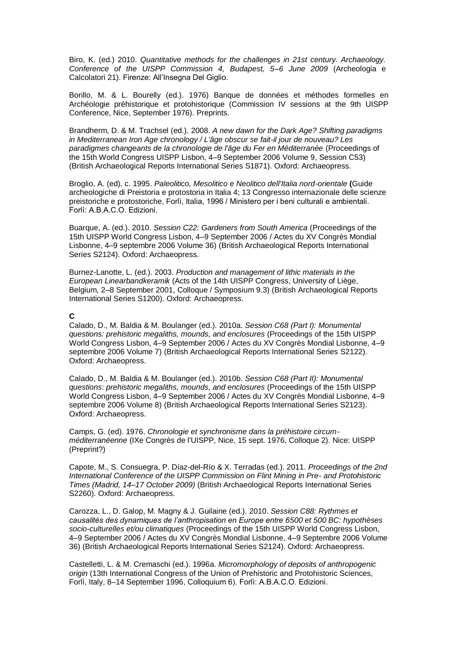Biro, K. (ed.) 2010. *Quantitative methods for the challenges in 21st century. Archaeology. Conference of the UISPP Commission 4, Budapest, 5–6 June 2009* (Archeologia e Calcolatori 21). Firenze: All'Insegna Del Giglio.

Borillo, M. & L. Bourelly (ed.). 1976) Banque de données et méthodes formelles en Archéologie préhistorique et protohistorique (Commission IV sessions at the 9th UISPP Conference, Nice, September 1976). Preprints.

Brandherm, D. & M. Trachsel (ed.). 2008. *A new dawn for the Dark Age? Shifting paradigms in Mediterranean Iron Age chronology / L'âge obscur se fait-il jour de nouveau? Les paradigmes changeants de la chronologie de l'âge du Fer en Méditerranée* (Proceedings of the 15th World Congress UISPP Lisbon, 4–9 September 2006 Volume 9, Session C53) (British Archaeological Reports International Series S1871). Oxford: Archaeopress.

Broglio, A. (ed). c. 1995. *Paleolitico, Mesolitico e Neolitico dell'Italia nord-orientale* **(**Guide archeologiche di Preistoria e protostoria in Italia 4; 13 Congresso internazionale delle scienze preistoriche e protostoriche, Forlì, Italia, 1996 / Ministero per i beni culturali e ambientali. Forlì: A.B.A.C.O. Edizioni.

Buarque, A. (ed.). 2010. *Session C22: Gardeners from South America* (Proceedings of the 15th UISPP World Congress Lisbon, 4–9 September 2006 / Actes du XV Congrès Mondial Lisbonne, 4–9 septembre 2006 Volume 36) (British Archaeological Reports International Series S2124). Oxford: Archaeopress.

Burnez-Lanotte, L. (ed.). 2003. *Production and management of lithic materials in the European Linearbandkeramik* (Acts of the 14th UISPP Congress, University of Liège, Belgium, 2–8 September 2001, Colloque / Symposium 9.3) (British Archaeological Reports International Series S1200). Oxford: Archaeopress.

#### **C**

Calado, D., M. Baldia & M. Boulanger (ed.)*.* 2010a. *Session C68 (Part I): Monumental questions: prehistoric megaliths, mounds, and enclosures* (Proceedings of the 15th UISPP World Congress Lisbon, 4–9 September 2006 / Actes du XV Congrès Mondial Lisbonne, 4–9 septembre 2006 Volume 7) (British Archaeological Reports International Series S2122). Oxford: Archaeopress.

Calado, D., M. Baldia & M. Boulanger (ed.)*.* 2010b. *Session C68 (Part II): Monumental questions: prehistoric megaliths, mounds, and enclosures* (Proceedings of the 15th UISPP World Congress Lisbon, 4–9 September 2006 / Actes du XV Congrès Mondial Lisbonne, 4–9 septembre 2006 Volume 8) (British Archaeological Reports International Series S2123). Oxford: Archaeopress.

Camps, G. (ed). 1976. *Chronologie et synchronisme dans la préhistoire circumméditerranéenne* (IXe Congrès de l'UISPP, Nice, 15 sept. 1976, Colloque 2). Nice: UISPP (Preprint?)

Capote, M., S. Consuegra, P. Díaz-del-Río & X. Terradas (ed.). 2011. *Proceedings of the 2nd International Conference of the UISPP Commission on Flint Mining in Pre- and Protohistoric Times (Madrid, 14–17 October 2009)* (British Archaeological Reports International Series S2260). Oxford: Archaeopress.

Carozza, L., D. Galop, M. Magny & J. Guilaine (ed.). 2010. *Session C88: Rythmes et causalités des dynamiques de l'anthropisation en Europe entre 6500 et 500 BC: hypothèses socio-culturelles et/ou climatiques* (Proceedings of the 15th UISPP World Congress Lisbon, 4–9 September 2006 / Actes du XV Congrès Mondial Lisbonne, 4–9 Septembre 2006 Volume 36) (British Archaeological Reports International Series S2124). Oxford: Archaeopress.

Castelletti, L. & M. Cremaschi (ed.). 1996a. *Micromorphology of deposits of anthropogenic origin* (13th International Congress of the Union of Prehistoric and Protohistoric Sciences, Forlì, Italy, 8-14 September 1996, Colloquium 6). Forlì: A.B.A.C.O. Edizioni.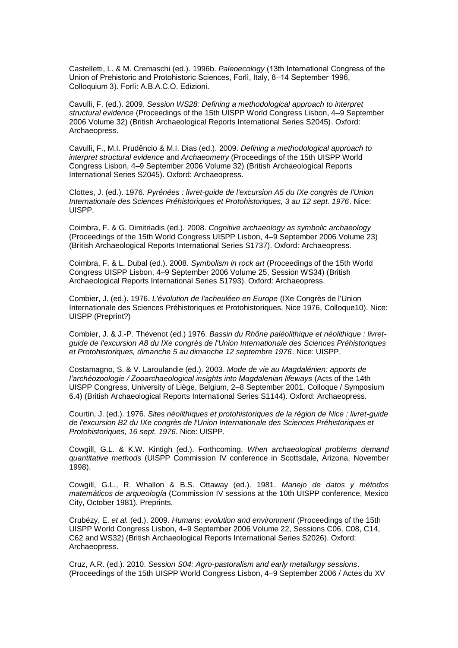Castelletti, L. & M. Cremaschi (ed.). 1996b. *Paleoecology* (13th International Congress of the Union of Prehistoric and Protohistoric Sciences, Forli, Italy, 8-14 September 1996, Colloquium 3). Forlì: A.B.A.C.O. Edizioni.

Cavulli, F. (ed.). 2009. *Session WS28: Defining a methodological approach to interpret structural evidence* (Proceedings of the 15th UISPP World Congress Lisbon, 4–9 September 2006 Volume 32) (British Archaeological Reports International Series S2045). Oxford: Archaeopress.

Cavulli, F., M.I. Prudêncio & M.I. Dias (ed.). 2009. *Defining a methodological approach to interpret structural evidence* and *Archaeometry* (Proceedings of the 15th UISPP World Congress Lisbon, 4–9 September 2006 Volume 32) (British Archaeological Reports International Series S2045). Oxford: Archaeopress.

Clottes, J. (ed.). 1976. *Pyrénées : livret-guide de l'excursion A5 du IXe congrès de l'Union Internationale des Sciences Préhistoriques et Protohistoriques, 3 au 12 sept. 1976*. Nice: UISPP.

Coimbra, F. & G. Dimitriadis (ed.). 2008. *Cognitive archaeology as symbolic archaeology*  (Proceedings of the 15th World Congress UISPP Lisbon, 4–9 September 2006 Volume 23) (British Archaeological Reports International Series S1737). Oxford: Archaeopress.

Coimbra, F. & L. Dubal (ed.). 2008. *Symbolism in rock art* (Proceedings of the 15th World Congress UISPP Lisbon, 4–9 September 2006 Volume 25, Session WS34) (British Archaeological Reports International Series S1793). Oxford: Archaeopress.

Combier, J. (ed.). 1976. *L'évolution de l'acheuléen en Europe* (IXe Congrès de l'Union Internationale des Sciences Préhistoriques et Protohistoriques, Nice 1976, Colloque10). Nice: UISPP (Preprint?)

Combier, J. & J.-P. Thévenot (ed.) 1976. *Bassin du Rhône paléolithique et néolithique : livretguide de l'excursion A8 du IXe congrès de l'Union Internationale des Sciences Préhistoriques et Protohistoriques, dimanche 5 au dimanche 12 septembre 1976*. Nice: UISPP.

Costamagno, S. & V. Laroulandie (ed.). 2003. *Mode de vie au Magdalénien: apports de l'archéozoologie / Zooarchaeological insights into Magdalenian lifeways* (Acts of the 14th UISPP Congress, University of Liège, Belgium, 2–8 September 2001, Colloque / Symposium 6.4) (British Archaeological Reports International Series S1144). Oxford: Archaeopress.

Courtin, J. (ed.). 1976. *Sites néolithiques et protohistoriques de la région de Nice : livret-guide de l'excursion B2 du IXe congrès de l'Union Internationale des Sciences Préhistoriques et Protohistoriques, 16 sept. 1976*. Nice: UISPP.

Cowgill, G.L. & K.W. Kintigh (ed.). Forthcoming. *When archaeological problems demand quantitative methods* (UISPP Commission IV conference in Scottsdale, Arizona, November 1998).

Cowgill, G.L., R. Whallon & B.S. Ottaway (ed.). 1981. *Manejo de datos y métodos matemáticos de arqueología* (Commission IV sessions at the 10th UISPP conference, Mexico City, October 1981). Preprints.

Crubézy, E. *et al.* (ed.). 2009. *Humans: evolution and environment* (Proceedings of the 15th UISPP World Congress Lisbon, 4–9 September 2006 Volume 22, Sessions C06, C08, C14, C62 and WS32) (British Archaeological Reports International Series S2026). Oxford: Archaeopress.

Cruz, A.R. (ed.). 2010. *Session S04: Agro-pastoralism and early metallurgy sessions*. (Proceedings of the 15th UISPP World Congress Lisbon, 4–9 September 2006 / Actes du XV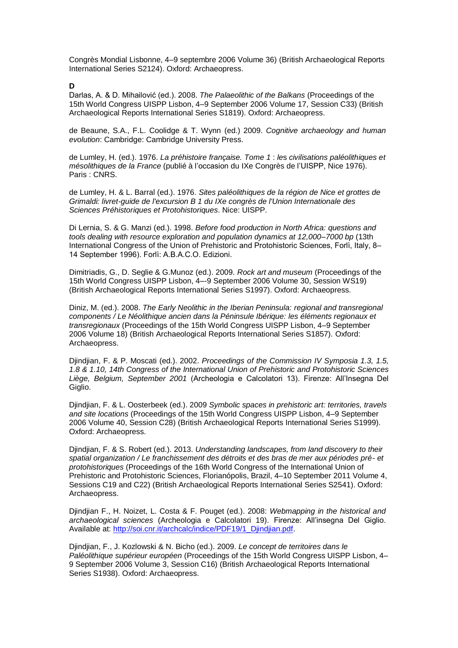Congrès Mondial Lisbonne, 4–9 septembre 2006 Volume 36) (British Archaeological Reports International Series S2124). Oxford: Archaeopress.

**D**

Darlas, A. & D. Mihailović (ed.). 2008. The Palaeolithic of the Balkans (Proceedings of the 15th World Congress UISPP Lisbon, 4–9 September 2006 Volume 17, Session C33) (British Archaeological Reports International Series S1819). Oxford: Archaeopress.

de Beaune, S.A., F.L. Coolidge & T. Wynn (ed.) 2009. *Cognitive archaeology and human evolution*: Cambridge: Cambridge University Press.

de Lumley, H. (ed.). 1976. *La préhistoire française. Tome 1* : *le*s *civilisations paléolithiques et mésolithiques de la France (publié à l'occasion du IXe Congrès de l'UISPP, Nice 1976).* Paris : CNRS.

de Lumley, H. & L. Barral (ed.). 1976. *Sites paléolithiques de la région de Nice et grottes de Grimaldi: livret-guide de l'excursion B 1 du IXe congrès de l'Union Internationale des Sciences Préhistoriques et Protohistoriques*. Nice: UISPP.

Di Lernia, S. & G. Manzi (ed.). 1998. *Before food production in North Africa: questions and tools dealing with resource exploration and population dynamics at 12,000–7000 bp* (13th International Congress of the Union of Prehistoric and Protohistoric Sciences, Forlì, Italy, 8-14 September 1996). Forlì: A.B.A.C.O. Edizioni.

Dimitriadis, G., D. Seglie & G.Munoz (ed.). 2009. *Rock art and museum* (Proceedings of the 15th World Congress UISPP Lisbon, 4–-9 September 2006 Volume 30, Session WS19) (British Archaeological Reports International Series S1997). Oxford: Archaeopress.

Diniz, M. (ed.). 2008. *The Early Neolithic in the Iberian Peninsula: regional and transregional components / Le Néolithique ancien dans la Péninsule Ibérique: les éléments regionaux et transregionaux* (Proceedings of the 15th World Congress UISPP Lisbon, 4–9 September 2006 Volume 18) (British Archaeological Reports International Series S1857). Oxford: Archaeopress.

Djindjian, F. & P. Moscati (ed.). 2002. *Proceedings of the Commission IV Symposia 1.3, 1.5, 1.8 & 1.10, 14th Congress of the International Union of Prehistoric and Protohistoric Sciences*  Liège, Belgium, September 2001 (Archeologia e Calcolatori 13). Firenze: All'Insegna Del Giglio.

Djindjian, F. & L. Oosterbeek (ed.). 2009 *Symbolic spaces in prehistoric art: territories, travels and site locations* (Proceedings of the 15th World Congress UISPP Lisbon, 4–9 September 2006 Volume 40, Session C28) (British Archaeological Reports International Series S1999). Oxford: Archaeopress.

Djindjian, F. & S. Robert (ed.). 2013. *Understanding landscapes, from land discovery to their spatial organization / Le franchissement des détroits et des bras de mer aux périodes pré- et protohistoriques* (Proceedings of the 16th World Congress of the International Union of Prehistoric and Protohistoric Sciences, Florianópolis, Brazil, 4–10 September 2011 Volume 4, Sessions C19 and C22) (British Archaeological Reports International Series S2541). Oxford: Archaeopress.

Djindjian F., H. Noizet, L. Costa & F. Pouget (ed.). 2008: *Webmapping in the historical and archaeological sciences (Archeologia e Calcolatori 19). Firenze: All'insegna Del Giglio.* Available at: [http://soi.cnr.it/archcalc/indice/PDF19/1\\_Djindjian.pdf.](http://soi.cnr.it/archcalc/indice/PDF19/1_Djindjian.pdf)

Djindjian, F., J. Kozlowski & N. Bicho (ed.). 2009. *Le concept de territoires dans le Paléolithique supérieur européen* (Proceedings of the 15th World Congress UISPP Lisbon, 4– 9 September 2006 Volume 3, Session C16) (British Archaeological Reports International Series S1938). Oxford: Archaeopress.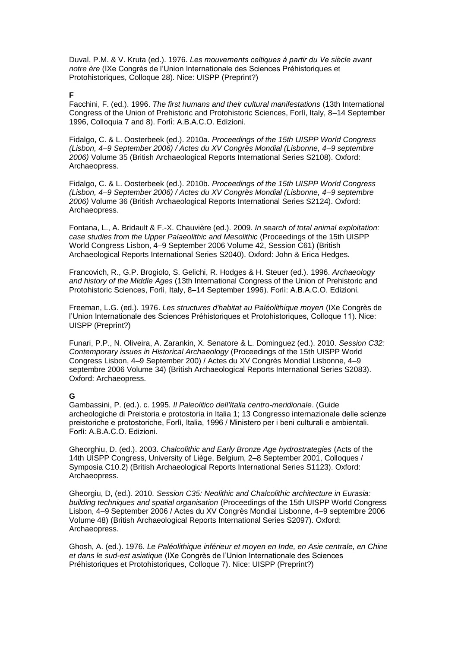Duval, P.M. & V. Kruta (ed.). 1976. Les mouvements celtiques à partir du Ve siècle avant notre ère (IXe Congrès de l'Union Internationale des Sciences Préhistoriques et Protohistoriques, Colloque 28). Nice: UISPP (Preprint?)

#### **F**

Facchini, F. (ed.). 1996. *The first humans and their cultural manifestations* (13th International Congress of the Union of Prehistoric and Protohistoric Sciences, Forlì, Italy, 8–14 September 1996, Colloquia 7 and 8). Forli: A.B.A.C.O. Edizioni.

Fidalgo, C. & L. Oosterbeek (ed.). 2010a. *Proceedings of the 15th UISPP World Congress (Lisbon, 4–9 September 2006) / Actes du XV Congrès Mondial (Lisbonne, 4–9 septembre 2006)* Volume 35 (British Archaeological Reports International Series S2108). Oxford: Archaeopress.

Fidalgo, C. & L. Oosterbeek (ed.). 2010b. *Proceedings of the 15th UISPP World Congress (Lisbon, 4–9 September 2006) / Actes du XV Congrès Mondial (Lisbonne, 4–9 septembre 2006)* Volume 36 (British Archaeological Reports International Series S2124). Oxford: Archaeopress.

Fontana, L., A. Bridault & F.-X. Chauvière (ed.). 2009. *In search of total animal exploitation: case studies from the Upper Palaeolithic and Mesolithic* (Proceedings of the 15th UISPP World Congress Lisbon, 4–9 September 2006 Volume 42, Session C61) (British Archaeological Reports International Series S2040). Oxford: John & Erica Hedges.

Francovich, R., G.P. Brogiolo, S. Gelichi, R. Hodges & H. Steuer (ed.). 1996. *Archaeology and history of the Middle Ages* (13th International Congress of the Union of Prehistoric and Protohistoric Sciences, Forlì, Italy, 8–14 September 1996). Forlì: A.B.A.C.O. Edizioni.

Freeman, L.G. (ed.). 1976. *Les structures d'habitat au Paléolithique moyen* (IXe Congrès de l'Union Internationale des Sciences Préhistoriques et Protohistoriques, Colloque 11). Nice: UISPP (Preprint?)

Funari, P.P., N. Oliveira, A. Zarankin, X. Senatore & L. Dominguez (ed.). 2010. *Session C32: Contemporary issues in Historical Archaeology* (Proceedings of the 15th UISPP World Congress Lisbon, 4–9 September 200) / Actes du XV Congrès Mondial Lisbonne, 4–9 septembre 2006 Volume 34) (British Archaeological Reports International Series S2083). Oxford: Archaeopress.

## **G**

Gambassini, P. (ed.). c. 1995. *Il Paleolitico dell'Italia centro-meridionale*. (Guide archeologiche di Preistoria e protostoria in Italia 1; 13 Congresso internazionale delle scienze preistoriche e protostoriche, Forlì, Italia, 1996 / Ministero per i beni culturali e ambientali. Forlì: A.B.A.C.O. Edizioni.

Gheorghiu, D. (ed.). 2003. *Chalcolithic and Early Bronze Age hydrostrategies* (Acts of the 14th UISPP Congress, University of Liège, Belgium, 2–8 September 2001, Colloques / Symposia C10.2) (British Archaeological Reports International Series S1123). Oxford: Archaeopress.

Gheorgiu, D, (ed.). 2010. *Session C35: Neolithic and Chalcolithic architecture in Eurasia: building techniques and spatial organisation* (Proceedings of the 15th UISPP World Congress Lisbon, 4–9 September 2006 / Actes du XV Congrès Mondial Lisbonne, 4–9 septembre 2006 Volume 48) (British Archaeological Reports International Series S2097). Oxford: Archaeopress.

Ghosh, A. (ed.). 1976. *Le Paléolithique inférieur et moyen en Inde, en Asie centrale, en Chine et dans le sud-est asiatique* (IXe Congrès de l'Union Internationale des Sciences Préhistoriques et Protohistoriques, Colloque 7). Nice: UISPP (Preprint?)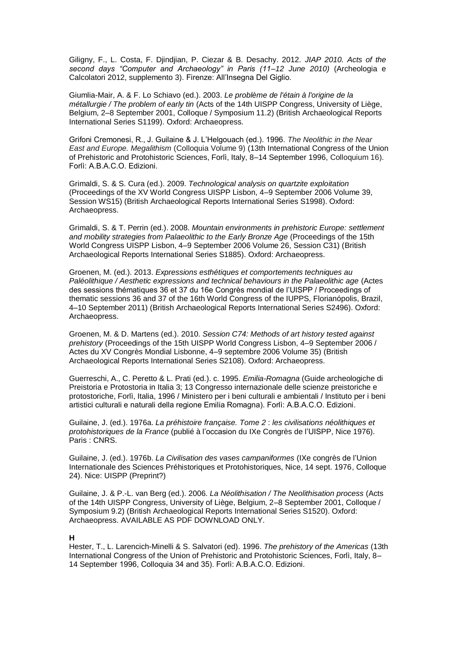Giligny, F., L. Costa, F. Djindjian, P. Ciezar & B. Desachy. 2012. *JIAP 2010. Acts of the second days "Computer and Archaeology" in Paris (11–12 June 2010)* (Archeologia e Calcolatori 2012, supplemento 3). Firenze: All'Insegna Del Giglio.

Giumlia-Mair, A. & F. Lo Schiavo (ed.). 2003. *Le problème de l'étain à l'origine de la métallurgie / The problem of early tin* (Acts of the 14th UISPP Congress, University of Liège, Belgium, 2–8 September 2001, Colloque / Symposium 11.2) (British Archaeological Reports International Series S1199). Oxford: Archaeopress.

Grifoni Cremonesi, R., J. Guilaine & J. L'Helgouach (ed.). 1996. The Neolithic in the Near *East and Europe. Megalithism* (Colloquia Volume 9) (13th International Congress of the Union of Prehistoric and Protohistoric Sciences, Forlì, Italy, 8–14 September 1996, Colloquium 16 . Forlì: A.B.A.C.O. Edizioni.

Grimaldi, S. & S. Cura (ed.). 2009. *Technological analysis on quartzite exploitation* (Proceedings of the XV World Congress UISPP Lisbon, 4–9 September 2006 Volume 39, Session WS15) (British Archaeological Reports International Series S1998). Oxford: Archaeopress.

Grimaldi, S. & T. Perrin (ed.). 2008. *Mountain environments in prehistoric Europe: settlement and mobility strategies from Palaeolithic to the Early Bronze Age* (Proceedings of the 15th World Congress UISPP Lisbon, 4–9 September 2006 Volume 26, Session C31) (British Archaeological Reports International Series S1885). Oxford: Archaeopress.

Groenen, M. (ed.). 2013. *Expressions esthétiques et comportements techniques au Paléolithique / Aesthetic expressions and technical behaviours in the Palaeolithic age* (Actes des sessions thématiques 36 et 37 du 16e Congrès mondial de l'UISPP / Proceedings of thematic sessions 36 and 37 of the 16th World Congress of the IUPPS, Florianópolis, Brazil, 4–10 September 2011) (British Archaeological Reports International Series S2496). Oxford: Archaeopress.

Groenen, M. & D. Martens (ed.). 2010. *Session C74: Methods of art history tested against prehistory* (Proceedings of the 15th UISPP World Congress Lisbon, 4–9 September 2006 / Actes du XV Congrès Mondial Lisbonne, 4–9 septembre 2006 Volume 35) (British Archaeological Reports International Series S2108). Oxford: Archaeopress.

Guerreschi, A., C. Peretto & L. Prati (ed.). c. 1995. *Emilia-Romagna* (Guide archeologiche di Preistoria e Protostoria in Italia 3; 13 Congresso internazionale delle scienze preistoriche e protostoriche, Forlì, Italia, 1996 / Ministero per i beni culturali e ambientali / Instituto per i beni artistici culturali e naturali della regione Emilia Romagna). Forlì: A.B.A.C.O. Edizioni.

Guilaine, J. (ed.). 1976a. *La préhistoire française. Tome 2* : *les civilisations néolithiques et protohistoriques de la France* (publié à l'occasion du IXe Congrès de l'UISPP, Nice 1976). Paris : CNRS.

Guilaine, J. (ed.). 1976b. *La Civilisation des vases campaniformes* (IXe congrès e 'Union Internationale des Sciences Préhistoriques et Protohistoriques, Nice, 14 sept. 1976, Colloque 24). Nice: UISPP (Preprint?)

Guilaine, J. & P.-L. van Berg (ed.). 2006. *La Néolithisation / The Neolithisation process* (Acts of the 14th UISPP Congress, University of Liège, Belgium, 2–8 September 2001, Colloque / Symposium 9.2) (British Archaeological Reports International Series S1520). Oxford: Archaeopress. AVAILABLE AS PDF DOWNLOAD ONLY.

#### **H**

Hester, T., L. Larencich-Minelli & S. Salvatori (ed). 1996. *The prehistory of the Americas* (13th International Congress of the Union of Prehistoric and Protohistoric Sciences, Forlì, Italy, 8– 14 September 1996, Colloquia 34 and 35). Forli: A.B.A.C.O. Edizioni.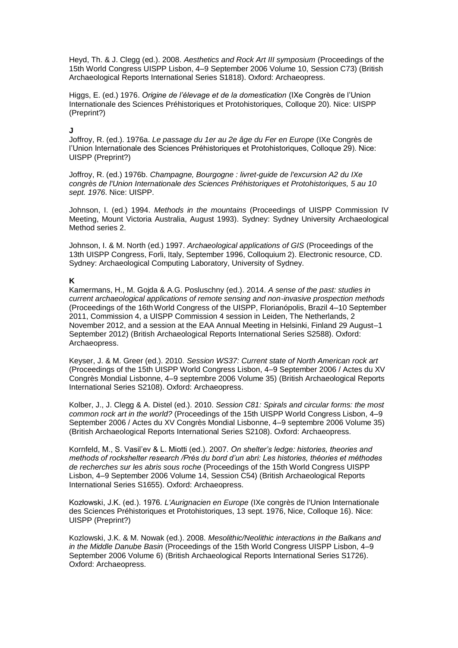Heyd, Th. & J. Clegg (ed.). 2008. *Aesthetics and Rock Art III symposium* (Proceedings of the 15th World Congress UISPP Lisbon, 4–9 September 2006 Volume 10, Session C73) (British Archaeological Reports International Series S1818). Oxford: Archaeopress.

Higgs, E. (ed.) 1976. *Origine de l'élevage et de la domestication* (IXe Congrès de l'Union [Internationale des Sciences Préhistoriques et Protohistoriques, C](http://vufind.carli.illinois.edu/vf-uiu/Search/Home?lookfor=%22IXe%20%5Bi.e.%20Neuvi%C3%A8me%5D%20congr%C3%A8s%20(Union%20internationale%20des%20sciences%20pr%C3%A9historiques%20et%20protohistoriques)%20%22%20&type=title&start_over=1)olloque 20). Nice: UISPP (Preprint?)

### **J**

Joffroy, R. (ed.). 1976a. *Le passage du 1er au 2e âge du Fer en Europe* (IXe Congrès de l'Union Internationale des Sciences Préhistoriques et Protohistoriques, Colloque 29), Nice: UISPP (Preprint?)

Joffroy, R. (ed.) 1976b. *Champagne, Bourgogne : livret-guide de l'excursion A2 du IXe congrès de l'Union Internationale des Sciences Préhistoriques et Protohistoriques, 5 au 10 sept. 1976*. Nice: UISPP.

Johnson, I. (ed.) 1994. *Methods in the mountains* (Proceedings of UISPP Commission IV Meeting, Mount Victoria Australia, August 1993). Sydney: Sydney University Archaeological Method series 2.

Johnson, I. & M. North (ed.) 1997. *Archaeological applications of GIS* (Proceedings of the 13th UISPP Congress, Forli, Italy, September 1996, Colloquium 2). Electronic resource, CD. Sydney: Archaeological Computing Laboratory, University of Sydney.

### **K**

Kamermans, H., M. Gojda & A.G. Posluschny (ed.). 2014. *A sense of the past: studies in current archaeological applications of remote sensing and non-invasive prospection methods*  (Proceedings of the 16thWorld Congress of the UISPP, Florianópolis, Brazil 4–10 September 2011, Commission 4, a UISPP Commission 4 session in Leiden, The Netherlands, 2 November 2012, and a session at the EAA Annual Meeting in Helsinki, Finland 29 August–1 September 2012) (British Archaeological Reports International Series S2588). Oxford: Archaeopress.

Keyser, J. & M. Greer (ed.). 2010. *Session WS37: Current state of North American rock art* (Proceedings of the 15th UISPP World Congress Lisbon, 4–9 September 2006 / Actes du XV Congrès Mondial Lisbonne, 4–9 septembre 2006 Volume 35) (British Archaeological Reports International Series S2108). Oxford: Archaeopress.

Kolber, J., J. Clegg & A. Distel (ed.). 2010. *Session C81: Spirals and circular forms: the most common rock art in the world?* (Proceedings of the 15th UISPP World Congress Lisbon, 4–9 September 2006 / Actes du XV Congrès Mondial Lisbonne, 4–9 septembre 2006 Volume 35) (British Archaeological Reports International Series S2108). Oxford: Archaeopress.

Kornfeld, M., S. Vasil'ev & L. Miotti (ed.). 2007. On shelter's ledge: histories, theories and methods of rockshelter research /Près du bord d'un abri: Les histories, théories et méthodes *de recherches sur les abris sous roche* (Proceedings of the 15th World Congress UISPP Lisbon, 4–9 September 2006 Volume 14, Session C54) (British Archaeological Reports International Series S1655). Oxford: Archaeopress.

Kozłowski, J.K. (ed.). 1976. L'Aurignacien en Europe (IXe congrès de l'Union Internationale des Sciences Préhistoriques et Protohistoriques, 13 sept. 1976, Nice, Colloque 16). Nice: UISPP (Preprint?)

Kozlowski, J.K. & M. Nowak (ed.). 2008. *Mesolithic/Neolithic interactions in the Balkans and in the Middle Danube Basin* (Proceedings of the 15th World Congress UISPP Lisbon, 4–9 September 2006 Volume 6) (British Archaeological Reports International Series S1726). Oxford: Archaeopress.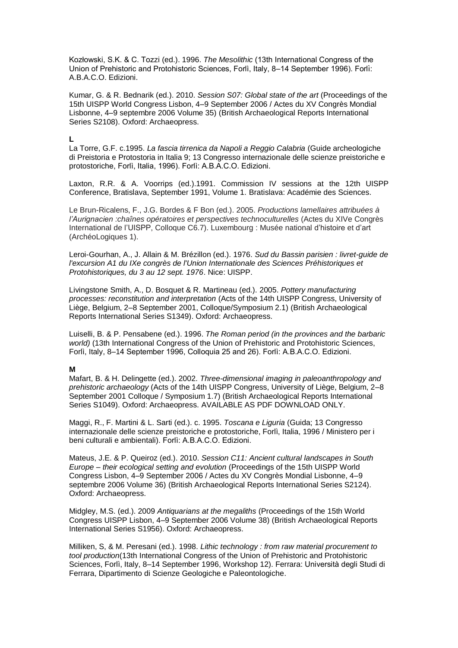Kozłowski, S.K. & C. Tozzi (ed.). 1996. *The Mesolithic* (13th International Congress of the Union of Prehistoric and Protohistoric Sciences, Forlì, Italy, 8–14 September 1996). Forlì: A.B.A.C.O. Edizioni.

Kumar, G. & R. Bednarik (ed.). 2010. *Session S07: Global state of the art* (Proceedings of the 15th UISPP World Congress Lisbon, 4–9 September 2006 / Actes du XV Congrès Mondial Lisbonne, 4–9 septembre 2006 Volume 35) (British Archaeological Reports International Series S2108). Oxford: Archaeopress.

**L**

La Torre, G.F. c.1995. *La fascia tirrenica da Napoli a Reggio Calabria* (Guide archeologiche di Preistoria e Protostoria in Italia 9; 13 Congresso internazionale delle scienze preistoriche e protostoriche, Forlì, Italia, 1996). Forlì: A.B.A.C.O. Edizioni.

Laxton, R.R. & A. Voorrips (ed.).1991. Commission IV sessions at the 12th UISPP Conference, Bratislava, September 1991, Volume 1. Bratislava: Académie des Sciences.

Le Brun-Ricalens, F., J.G. Bordes & F Bon (ed.). 2005. *Productions lamellaires attribuées à l'Aurignacien :chaînes opératoires et perspectives technoculturelles* (Actes du XIVe Congrès International de l'UISPP, Colloque C6.7). Luxembourg : Musée national d'histoire et d'art (ArchéoLogiques 1).

Leroi-Gourhan, A., J. Allain & M. Brézillon (ed.). 1976. *Sud du Bassin parisien : livret-guide de l'excursion A1 du IXe congrès de l'Union Internationale des Sciences Préhistoriques et Protohistoriques, du 3 au 12 sept. 1976*. Nice: UISPP.

Livingstone Smith, A., D. Bosquet & R. Martineau (ed.). 2005. *Pottery manufacturing processes: reconstitution and interpretation* (Acts of the 14th UISPP Congress, University of Liège, Belgium, 2–8 September 2001, Colloque/Symposium 2.1) (British Archaeological Reports International Series S1349). Oxford: Archaeopress.

Luiselli, B. & P. Pensabene (ed.). 1996. *The Roman period (in the provinces and the barbaric world)* (13th International Congress of the Union of Prehistoric and Protohistoric Sciences, Forlì, Italy, 8–14 September 1996, Colloquia 25 and 26). Forlì: A.B.A.C.O. Edizioni.

### **M**

Mafart, B. & H. Delingette (ed.). 2002. *Three-dimensional imaging in paleoanthropology and prehistoric archaeology* (Acts of the 14th UISPP Congress, University of Liège, Belgium, 2–8 September 2001 Colloque / Symposium 1.7) (British Archaeological Reports International Series S1049). Oxford: Archaeopress. AVAILABLE AS PDF DOWNLOAD ONLY.

Maggi, R., F. Martini & L. Sarti (ed.). c. 1995. *Toscana e Liguria* (Guida; 13 Congresso internazionale delle scienze preistoriche e protostoriche, Forlì, Italia, 1996 / Ministero per i beni culturali e ambientali). Forlì: A.B.A.C.O. Edizioni.

Mateus, J.E. & P. Queiroz (ed.). 2010. *Session C11: Ancient cultural landscapes in South Europe – their ecological setting and evolution* (Proceedings of the 15th UISPP World Congress Lisbon, 4–9 September 2006 / Actes du XV Congrès Mondial Lisbonne, 4–9 septembre 2006 Volume 36) (British Archaeological Reports International Series S2124). Oxford: Archaeopress.

Midgley, M.S. (ed.). 2009 *Antiquarians at the megaliths* (Proceedings of the 15th World Congress UISPP Lisbon, 4–9 September 2006 Volume 38) (British Archaeological Reports International Series S1956). Oxford: Archaeopress.

Milliken, S, & M. Peresani (ed.). 1998. *Lithic technology : from raw material procurement to tool production*(13th International Congress of the Union of Prehistoric and Protohistoric Sciences, Forlì, Italy, 8-14 September 1996, Workshop 12). Ferrara: Università degli Studi di Ferrara, Dipartimento di Scienze Geologiche e Paleontologiche.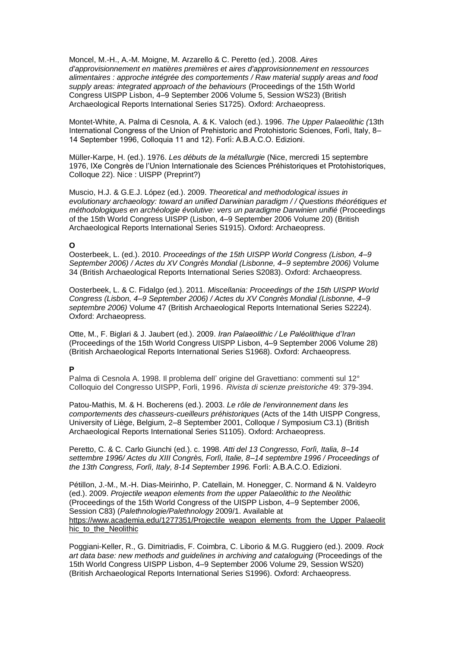Moncel, M.-H., A.-M. Moigne, M. Arzarello & C. Peretto (ed.). 2008. *Aires d'approvisionnement en matières premières et aires d'approvisionnement en ressources alimentaires : approche intégrée des comportements / Raw material supply areas and food supply areas: integrated approach of the behaviours* (Proceedings of the 15th World Congress UISPP Lisbon, 4–9 September 2006 Volume 5, Session WS23) (British Archaeological Reports International Series S1725). Oxford: Archaeopress.

Montet-White, A. Palma di Cesnola, A. & K. Valoch (ed.). 1996. *The Upper Palaeolithic (*13th International Congress of the Union of Prehistoric and Protohistoric Sciences, Forlì, Italy, 8-14 September 1996, Colloquia 11 and 12). Forlì: A.B.A.C.O. Edizioni.

Müller-Karpe, H. (ed.). 1976. *Les débuts de la métallurgie* (Nice, mercredi 15 septembre 1976, IXe Congrès de l'Union Internationale des Sciences Préhistoriques et Protohistoriques. Colloque 22). Nice : UISPP (Preprint?)

Muscio, H.J. & G.E.J. López (ed.). 2009. *Theoretical and methodological issues in evolutionary archaeology: toward an unified Darwinian paradigm / / Questions théorétiques et méthodologiques en archéologie évolutive: vers un paradigme Darwinien unifié* (Proceedings of the 15th World Congress UISPP (Lisbon, 4–9 September 2006 Volume 20) (British Archaeological Reports International Series S1915). Oxford: Archaeopress.

### **O**

Oosterbeek, L. (ed.). 2010. *Proceedings of the 15th UISPP World Congress (Lisbon, 4–9 September 2006) / Actes du XV Congrès Mondial (Lisbonne, 4–9 septembre 2006)* Volume 34 (British Archaeological Reports International Series S2083). Oxford: Archaeopress.

Oosterbeek, L. & C. Fidalgo (ed.). 2011. *Miscellania: Proceedings of the 15th UISPP World Congress (Lisbon, 4–9 September 2006) / Actes du XV Congrès Mondial (Lisbonne, 4–9 septembre 2006)* Volume 47 (British Archaeological Reports International Series S2224). Oxford: Archaeopress.

Otte, M., F. Biglari & J. Jaubert (ed.). 2009. *Iran Palaeolithic / Le Paléolithique d'Iran* (Proceedings of the 15th World Congress UISPP Lisbon, 4–9 September 2006 Volume 28) (British Archaeological Reports International Series S1968). Oxford: Archaeopress.

## **P**

Palma di Cesnola A. 1998. Il problema dell' origine del Gravettiano: commenti sul 12° Colloquio del Congresso UISPP, Forli, 1996. *Rivista di scienze preistoriche* 49: 379-394.

Patou-Mathis, M. & H. Bocherens (ed.). 2003. *Le rôle de l'environnement dans les comportements des chasseurs-cueilleurs préhistoriques* (Acts of the 14th UISPP Congress, University of Liège, Belgium, 2–8 September 2001, Colloque / Symposium C3.1) (British Archaeological Reports International Series S1105). Oxford: Archaeopress.

Peretto, C. & C. Carlo Giunchi (ed.). c. 1998. *Atti del 13 Congresso, Forlì, Italia, 8–14 settembre 1996/ Actes du XIII Congrès, Forlì, Italie, 8–14 septembre 1996 / Proceedings of*  the 13th Congress, Forlì, Italy, 8-14 September 1996. Forlì: A.B.A.C.O. Edizioni.

Pétillon, J.-M., M.-H. Dias-Meirinho, P. Catellain, M. Honegger, C. Normand & N. Valdeyro (ed.). 2009. *Projectile weapon elements from the upper Palaeolithic to the Neolithic*  (Proceedings of the 15th World Congress of the UISPP Lisbon, 4–9 September 2006, Session C83) (*Palethnologie/Palethnology* 2009/1. Available at [https://www.academia.edu/1277351/Projectile\\_weapon\\_elements\\_from\\_the\\_Upper\\_Palaeolit](https://www.academia.edu/1277351/Projectile_weapon_elements_from_the_Upper_Palaeolithic_to_the_Neolithic) hic to the Neolithic

Poggiani-Keller, R., G. Dimitriadis, F. Coimbra, C. Liborio & M.G. Ruggiero (ed.). 2009. *Rock art data base: new methods and guidelines in archiving and cataloguing* (Proceedings of the 15th World Congress UISPP Lisbon, 4–9 September 2006 Volume 29, Session WS20) (British Archaeological Reports International Series S1996). Oxford: Archaeopress.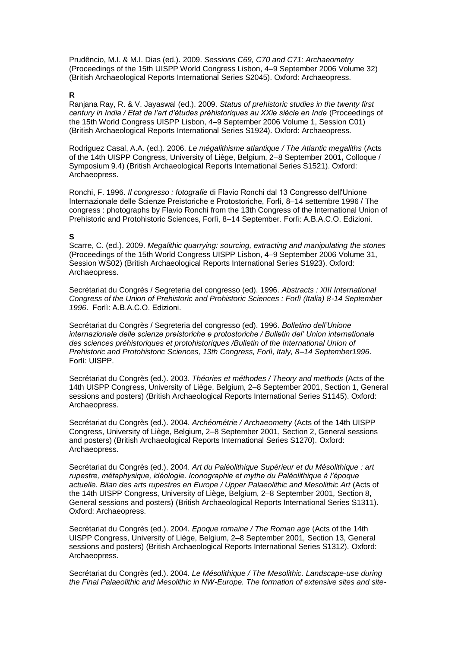Prudêncio, M.I. & M.I. Dias (ed.). 2009. *Sessions C69, C70 and C71: Archaeometry* (Proceedings of the 15th UISPP World Congress Lisbon, 4–9 September 2006 Volume 32) (British Archaeological Reports International Series S2045). Oxford: Archaeopress.

#### **R**

Ranjana Ray, R. & V. Jayaswal (ed.). 2009. *Status of prehistoric studies in the twenty first century in India / Etat de l'art d'études préhistoriques au XXie siècle en Inde* (Proceedings of the 15th World Congress UISPP Lisbon, 4–9 September 2006 Volume 1, Session C01) (British Archaeological Reports International Series S1924). Oxford: Archaeopress.

Rodriguez Casal, A.A. (ed.). 2006. *Le mégalithisme atlantique / The Atlantic megaliths* (Acts of the 14th UISPP Congress, University of Liège, Belgium, 2–8 September 2001*,* Colloque / Symposium 9.4) (British Archaeological Reports International Series S1521). Oxford: Archaeopress.

Ronchi, F. 1996. *Il congresso : fotografie* di Flavio Ronchi dal 13 Congresso dell'Unione Internazionale delle Scienze Preistoriche e Protostoriche, Forlì, 8–14 settembre 1996 / The congress : photographs by Flavio Ronchi from the 13th Congress of the International Union of Prehistoric and Protohistoric Sciences, Forlì, 8–14 September. Forlì: A.B.A.C.O. Edizioni.

### **S**

Scarre, C. (ed.). 2009. *Megalithic quarrying: sourcing, extracting and manipulating the stones*  (Proceedings of the 15th World Congress UISPP Lisbon, 4–9 September 2006 Volume 31, Session WS02) (British Archaeological Reports International Series S1923). Oxford: Archaeopress.

Secrétariat du Congrès / Segreteria del congresso (ed). 1996. *Abstracts : XIII International Congress of the Union of Prehistoric and Prohistoric Sciences : Forlì (Italia) 8-14 September*  1996. Forlì: A.B.A.C.O. Edizioni.

Secrétariat du Congrès / Segreteria del congresso (ed). 1996. *Bolletino dell'Unione internazionale delle scienze preistoriche e protostoriche / Bulletin del' Union internationale des sciences préhistoriques et protohistoriques /Bulletin of the International Union of Prehistoric and Protohistoric Sciences, 13th Congress, Forlì, Italy, 8–14 September1996*. Forlì: UISPP.

Secrétariat du Congrès (ed.). 2003. *Théories et méthodes / Theory and methods* (Acts of the 14th UISPP Congress, University of Liège, Belgium, 2–8 September 2001, Section 1, General sessions and posters) (British Archaeological Reports International Series S1145). Oxford: Archaeopress.

Secrétariat du Congrès (ed.). 2004. *Archéométrie / Archaeometry* (Acts of the 14th UISPP Congress, University of Liège, Belgium, 2–8 September 2001, Section 2, General sessions and posters) (British Archaeological Reports International Series S1270). Oxford: Archaeopress.

Secrétariat du Congrès (ed.). 2004. *Art du Paléolithique Supérieur et du Mésolithique : art*  rupestre, métaphysique, idéologie. Iconographie et mythe du Paléolithique à l'époque *actuelle. Bilan des arts rupestres en Europe / Upper Palaeolithic and Mesolithic Art* (Acts of the 14th UISPP Congress, University of Liège, Belgium, 2–8 September 2001*,* Section 8, General sessions and posters) (British Archaeological Reports International Series S1311). Oxford: Archaeopress.

Secrétariat du Congrès (ed.). 2004. *Epoque romaine / The Roman age* (Acts of the 14th UISPP Congress, University of Liège, Belgium, 2–8 September 2001*,* Section 13, General sessions and posters) (British Archaeological Reports International Series S1312). Oxford: Archaeopress.

Secrétariat du Congrès (ed.). 2004. *Le Mésolithique / The Mesolithic. Landscape-use during the Final Palaeolithic and Mesolithic in NW-Europe. The formation of extensive sites and site-*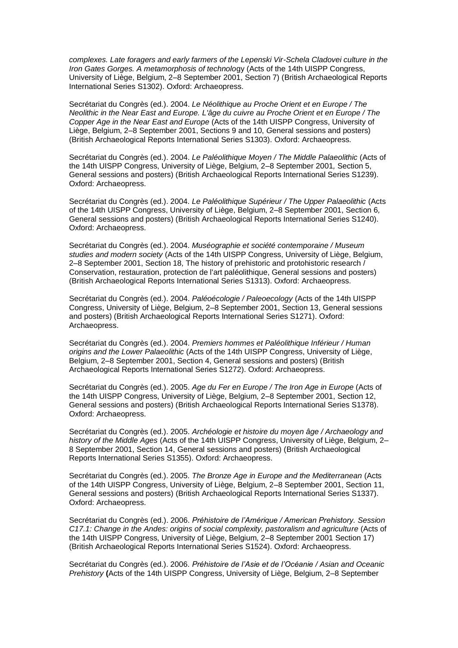*complexes. Late foragers and early farmers of the Lepenski Vir-Schela Cladovei culture in the Iron Gates Gorges. A metamorphosis of technolo*gy (Acts of the 14th UISPP Congress, University of Liège, Belgium, 2–8 September 2001, Section 7) (British Archaeological Reports International Series S1302). Oxford: Archaeopress.

Secrétariat du Congrès (ed.). 2004. *Le Néolithique au Proche Orient et en Europe / The Neolithic in the Near East and Europe. L'âge du cuivre au Proche Orient et en Europe / The Copper Age in the Near East and Europe* (Acts of the 14th UISPP Congress, University of Liège, Belgium, 2–8 September 2001, Sections 9 and 10, *G*eneral sessions and posters) (British Archaeological Reports International Series S1303). Oxford: Archaeopress.

Secrétariat du Congrès (ed.). 2004. *Le Paléolithique Moyen / The Middle Palaeolithic* (Acts of the 14th UISPP Congress, University of Liège, Belgium, 2–8 September 2001*,* Section 5, General sessions and posters) (British Archaeological Reports International Series S1239). Oxford: Archaeopress.

Secrétariat du Congrès (ed.). 2004. *Le Paléolithique Supérieur / The Upper Palaeolithic* (Acts of the 14th UISPP Congress, University of Liège, Belgium, 2–8 September 2001, Section 6*,*  General sessions and posters) (British Archaeological Reports International Series S1240). Oxford: Archaeopress.

Secrétariat du Congrès (ed.). 2004. *Muséographie et société contemporaine / Museum studies and modern society* (Acts of the 14th UISPP Congress, University of Liège, Belgium, 2–8 September 2001, Section 18*,* The history of prehistoric and protohistoric research / Conservation, restauration, protection de l'art paléolithique, General sessions and posters) (British Archaeological Reports International Series S1313). Oxford: Archaeopress.

Secrétariat du Congrès (ed.). 2004. *Paléoécologie / Paleoecology* (Acts of the 14th UISPP Congress, University of Liège, Belgium, 2–8 September 2001, Section 13, General sessions and posters) (British Archaeological Reports International Series S1271). Oxford: Archaeopress.

Secrétariat du Congrès (ed.). 2004. *Premiers hommes et Paléolithique Inférieur / Human origins and the Lower Palaeolithic* (Acts of the 14th UISPP Congress, University of Liège, Belgium, 2–8 September 2001, Section 4, General sessions and posters) (British Archaeological Reports International Series S1272). Oxford: Archaeopress.

Secrétariat du Congrès (ed.). 2005. *Age du Fer en Europe / The Iron Age in Europe* (Acts of the 14th UISPP Congress, University of Liège, Belgium, 2–8 September 2001, Section 12, General sessions and posters) (British Archaeological Reports International Series S1378). Oxford: Archaeopress.

Secrétariat du Congrès (ed.). 2005. *Archéologie et histoire du moyen âge / Archaeology and history of the Middle Ages* (Acts of the 14th UISPP Congress, University of Liège, Belgium, 2– 8 September 2001, Section 14, General sessions and posters) (British Archaeological Reports International Series S1355). Oxford: Archaeopress.

Secrétariat du Congrès (ed.). 2005. *The Bronze Age in Europe and the Mediterranean* (Acts of the 14th UISPP Congress, University of Liège, Belgium, 2–8 September 2001, Section 11, General sessions and posters) (British Archaeological Reports International Series S1337). Oxford: Archaeopress.

Secrétariat du Congrès (ed.). 2006. *Préhistoire de l'Amérique / American Prehistory. Session C17.1: Change in the Andes: origins of social complexity, pastoralism and agriculture* (Acts of the 14th UISPP Congress, University of Liège, Belgium, 2–8 September 2001 Section 17) (British Archaeological Reports International Series S1524). Oxford: Archaeopress.

Secrétariat du Congrès (ed.). 2006. *Préhistoire de l'Asie et de l'Océanie / Asian and Oceanic Prehistory* **(**Acts of the 14th UISPP Congress, University of Liège, Belgium, 2–8 September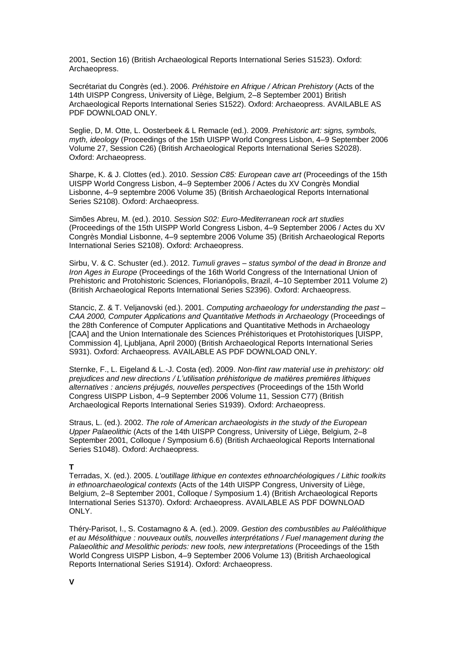2001, Section 16) (British Archaeological Reports International Series S1523). Oxford: Archaeopress.

Secrétariat du Congrès (ed.). 2006. *Préhistoire en Afrique / African Prehistory* (Acts of the 14th UISPP Congress, University of Liège, Belgium, 2–8 September 2001) British Archaeological Reports International Series S1522). Oxford: Archaeopress. AVAILABLE AS PDF DOWNLOAD ONLY.

Seglie, D, M. Otte, L. Oosterbeek & L Remacle (ed.). 2009. *Prehistoric art: signs, symbols, myth, ideology* (Proceedings of the 15th UISPP World Congress Lisbon, 4–9 September 2006 Volume 27, Session C26) (British Archaeological Reports International Series S2028). Oxford: Archaeopress.

Sharpe, K. & J. Clottes (ed.). 2010. *Session C85: European cave art* (Proceedings of the 15th UISPP World Congress Lisbon, 4–9 September 2006 / Actes du XV Congrès Mondial Lisbonne, 4–9 septembre 2006 Volume 35) (British Archaeological Reports International Series S2108). Oxford: Archaeopress.

Simões Abreu, M. (ed.). 2010. *Session S02: Euro-Mediterranean rock art studies*  (Proceedings of the 15th UISPP World Congress Lisbon, 4–9 September 2006 / Actes du XV Congrès Mondial Lisbonne, 4–9 septembre 2006 Volume 35) (British Archaeological Reports International Series S2108). Oxford: Archaeopress.

Sirbu, V. & C. Schuster (ed.). 2012. *Tumuli graves – status symbol of the dead in Bronze and Iron Ages in Europe* (Proceedings of the 16th World Congress of the International Union of Prehistoric and Protohistoric Sciences, Florianópolis, Brazil, 4–10 September 2011 Volume 2) (British Archaeological Reports International Series S2396). Oxford: Archaeopress.

Stancic, Z. & T. Veljanovski (ed.). 2001. *Computing archaeology for understanding the past – CAA 2000, Computer Applications and Quantitative Methods in Archaeology* (Proceedings of the 28th Conference of Computer Applications and Quantitative Methods in Archaeology [CAA] and the Union Internationale des Sciences Préhistoriques et Protohistoriques [UISPP, Commission 4], Ljubljana, April 2000) (British Archaeological Reports International Series S931). Oxford: Archaeopress. AVAILABLE AS PDF DOWNLOAD ONLY.

Sternke, F., L. Eigeland & L.-J. Costa (ed). 2009. *Non-flint raw material use in prehistory: old prejudices and new directions / 'utilisation préhistorique de matières premières lithiques alternatives : anciens préjugés, nouvelles perspectives* (Proceedings of the 15th World Congress UISPP Lisbon, 4–9 September 2006 Volume 11, Session C77) (British Archaeological Reports International Series S1939). Oxford: Archaeopress.

Straus, L. (ed.). 2002. *The role of American archaeologists in the study of the European Upper Palaeolithic* (Acts of the 14th UISPP Congress, University of Liège, Belgium, 2–8 September 2001, Colloque / Symposium 6.6) (British Archaeological Reports International Series S1048). Oxford: Archaeopress.

### **T**

Terradas, X. (ed.). 2005. *L'outillage lithique en contextes ethnoarchéologiques / Lithic toolkits in ethnoarchaeological contexts* (Acts of the 14th UISPP Congress, University of Liège, Belgium, 2–8 September 2001, Colloque / Symposium 1.4) (British Archaeological Reports International Series S1370). Oxford: Archaeopress. AVAILABLE AS PDF DOWNLOAD ONLY.

Théry-Parisot, I., S. Costamagno & A. (ed.). 2009. *Gestion des combustibles au Paléolithique et au Mésolithique : nouveaux outils, nouvelles interprétations / Fuel management during the Palaeolithic and Mesolithic periods: new tools, new interpretations* (Proceedings of the 15th World Congress UISPP Lisbon, 4–9 September 2006 Volume 13) (British Archaeological Reports International Series S1914). Oxford: Archaeopress.